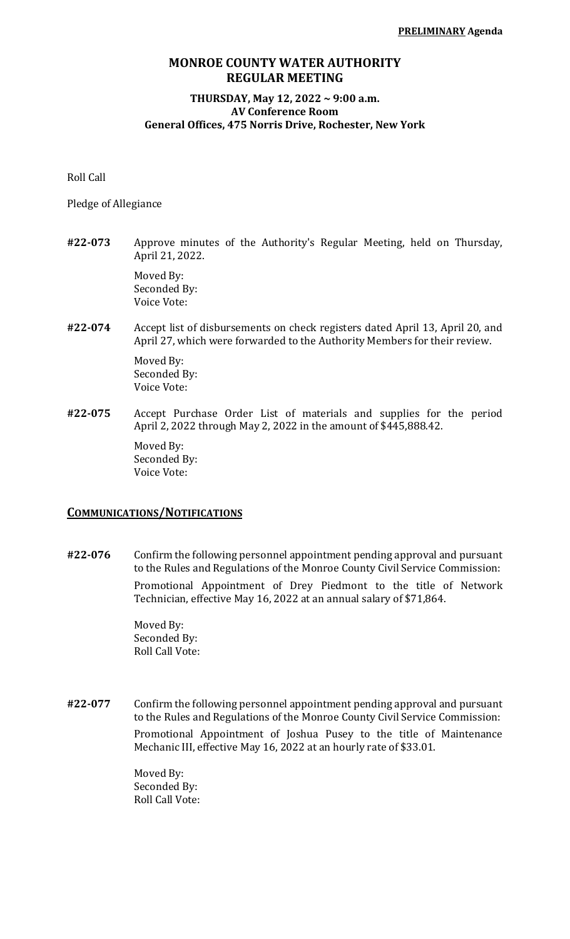### **MONROE COUNTY WATER AUTHORITY REGULAR MEETING**

#### **THURSDAY, May 12, 2022 ~ 9:00 a.m. AV Conference Room General Offices, 475 Norris Drive, Rochester, New York**

Roll Call

Pledge of Allegiance

**#22-073** Approve minutes of the Authority's Regular Meeting, held on Thursday, April 21, 2022.

> Moved By: Seconded By: Voice Vote:

**#22-074** Accept list of disbursements on check registers dated April 13, April 20, and April 27, which were forwarded to the Authority Members for their review.

> Moved By: Seconded By: Voice Vote:

**#22-075** Accept Purchase Order List of materials and supplies for the period April 2, 2022 through May 2, 2022 in the amount of \$445,888.42.

> Moved By: Seconded By: Voice Vote:

#### **COMMUNICATIONS/NOTIFICATIONS**

**#22-076** Confirm the following personnel appointment pending approval and pursuant to the Rules and Regulations of the Monroe County Civil Service Commission: Promotional Appointment of Drey Piedmont to the title of Network Technician, effective May 16, 2022 at an annual salary of \$71,864.

> Moved By: Seconded By: Roll Call Vote:

**#22-077** Confirm the following personnel appointment pending approval and pursuant to the Rules and Regulations of the Monroe County Civil Service Commission: Promotional Appointment of Joshua Pusey to the title of Maintenance Mechanic III, effective May 16, 2022 at an hourly rate of \$33.01.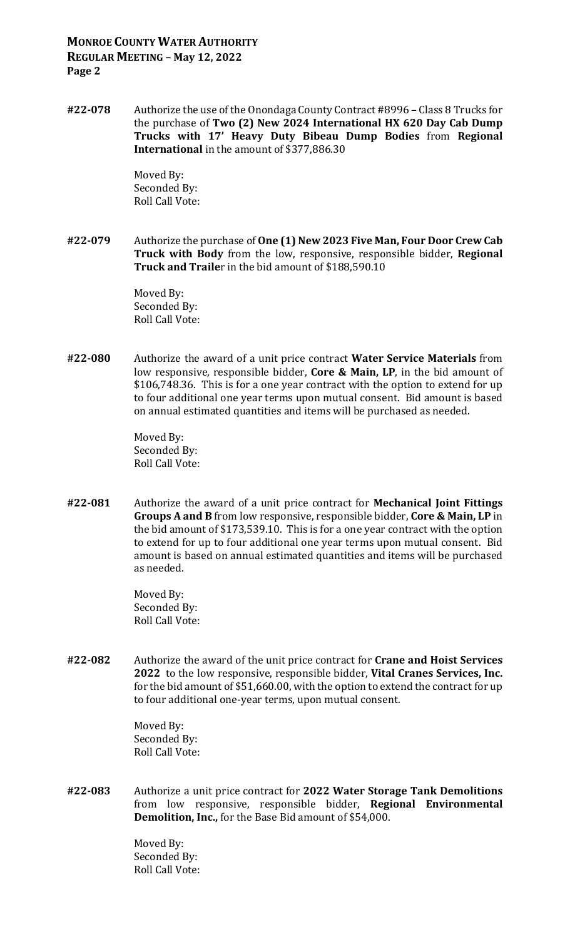# **MONROE COUNTY WATER AUTHORITY REGULAR MEETING – May 12, 2022 Page 2**

**#22-078** Authorize the use of the Onondaga County Contract #8996 – Class 8 Trucks for the purchase of **Two (2) New 2024 International HX 620 Day Cab Dump Trucks with 17' Heavy Duty Bibeau Dump Bodies** from **Regional International** in the amount of \$377,886.30

> Moved By: Seconded By: Roll Call Vote:

**#22-079** Authorize the purchase of **One (1) New 2023 Five Man, Four Door Crew Cab Truck with Body** from the low, responsive, responsible bidder, **Regional Truck and Traile**r in the bid amount of \$188,590.10

> Moved By: Seconded By: Roll Call Vote:

**#22-080** Authorize the award of a unit price contract **Water Service Materials** from low responsive, responsible bidder, **Core & Main, LP**, in the bid amount of \$106,748.36. This is for a one year contract with the option to extend for up to four additional one year terms upon mutual consent. Bid amount is based on annual estimated quantities and items will be purchased as needed.

> Moved By: Seconded By: Roll Call Vote:

**#22-081** Authorize the award of a unit price contract for **Mechanical Joint Fittings Groups A and B** from low responsive, responsible bidder, **Core & Main, LP** in the bid amount of \$173,539.10. This is for a one year contract with the option to extend for up to four additional one year terms upon mutual consent. Bid amount is based on annual estimated quantities and items will be purchased as needed.

> Moved By: Seconded By: Roll Call Vote:

**#22-082** Authorize the award of the unit price contract for **Crane and Hoist Services 2022** to the low responsive, responsible bidder, **Vital Cranes Services, Inc.** for the bid amount of \$51,660.00, with the option to extend the contract for up to four additional one-year terms, upon mutual consent.

> Moved By: Seconded By: Roll Call Vote:

**#22-083** Authorize a unit price contract for **2022 Water Storage Tank Demolitions** from low responsive, responsible bidder, **Regional Environmental Demolition, Inc.,** for the Base Bid amount of \$54,000.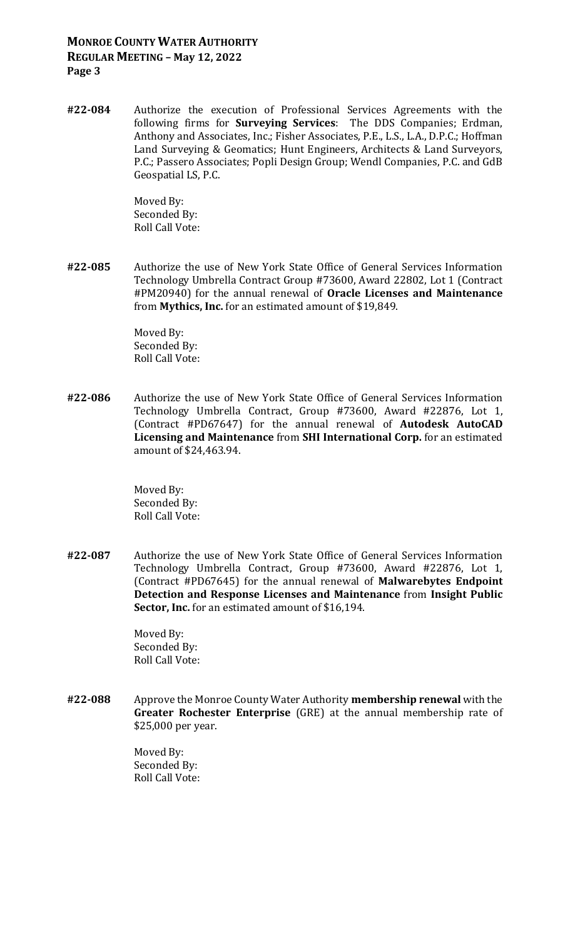### **MONROE COUNTY WATER AUTHORITY REGULAR MEETING – May 12, 2022 Page 3**

**#22-084** Authorize the execution of Professional Services Agreements with the following firms for **Surveying Services**: The DDS Companies; Erdman, Anthony and Associates, Inc.; Fisher Associates, P.E., L.S., L.A., D.P.C.; Hoffman Land Surveying & Geomatics; Hunt Engineers, Architects & Land Surveyors, P.C.; Passero Associates; Popli Design Group; Wendl Companies, P.C. and GdB Geospatial LS, P.C.

> Moved By: Seconded By: Roll Call Vote:

**#22-085** Authorize the use of New York State Office of General Services Information Technology Umbrella Contract Group #73600, Award 22802, Lot 1 (Contract #PM20940) for the annual renewal of **Oracle Licenses and Maintenance** from **Mythics, Inc.** for an estimated amount of \$19,849.

> Moved By: Seconded By: Roll Call Vote:

**#22-086** Authorize the use of New York State Office of General Services Information Technology Umbrella Contract, Group #73600, Award #22876, Lot 1, (Contract #PD67647) for the annual renewal of **Autodesk AutoCAD Licensing and Maintenance** from **SHI International Corp.** for an estimated amount of \$24,463.94.

> Moved By: Seconded By: Roll Call Vote:

**#22-087** Authorize the use of New York State Office of General Services Information Technology Umbrella Contract, Group #73600, Award #22876, Lot 1, (Contract #PD67645) for the annual renewal of **Malwarebytes Endpoint Detection and Response Licenses and Maintenance** from **Insight Public Sector, Inc.** for an estimated amount of \$16,194.

> Moved By: Seconded By: Roll Call Vote:

**#22-088** Approve the Monroe County Water Authority **membership renewal** with the **Greater Rochester Enterprise** (GRE) at the annual membership rate of \$25,000 per year.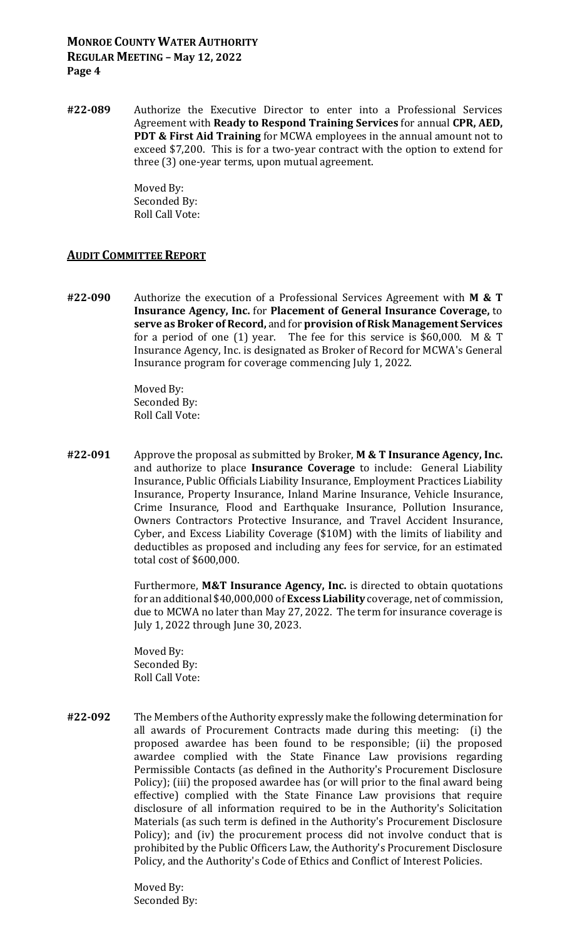## **MONROE COUNTY WATER AUTHORITY REGULAR MEETING – May 12, 2022 Page 4**

**#22-089** Authorize the Executive Director to enter into a Professional Services Agreement with **Ready to Respond Training Services** for annual **CPR, AED, PDT & First Aid Training** for MCWA employees in the annual amount not to exceed \$7,200. This is for a two-year contract with the option to extend for three (3) one-year terms, upon mutual agreement.

> Moved By: Seconded By: Roll Call Vote:

#### **AUDIT COMMITTEE REPORT**

**#22-090** Authorize the execution of a Professional Services Agreement with **M & T Insurance Agency, Inc.** for **Placement of General Insurance Coverage,** to **serve as Broker of Record,** and for **provision of Risk Management Services** for a period of one (1) year. The fee for this service is \$60,000. M & T Insurance Agency, Inc. is designated as Broker of Record for MCWA's General Insurance program for coverage commencing July 1, 2022.

> Moved By: Seconded By: Roll Call Vote:

**#22-091** Approve the proposal as submitted by Broker, **M & T Insurance Agency, Inc.** and authorize to place **Insurance Coverage** to include: General Liability Insurance, Public Officials Liability Insurance, Employment Practices Liability Insurance, Property Insurance, Inland Marine Insurance, Vehicle Insurance, Crime Insurance, Flood and Earthquake Insurance, Pollution Insurance, Owners Contractors Protective Insurance, and Travel Accident Insurance, Cyber, and Excess Liability Coverage (\$10M) with the limits of liability and deductibles as proposed and including any fees for service, for an estimated total cost of \$600,000.

> Furthermore, **M&T Insurance Agency, Inc.** is directed to obtain quotations for an additional \$40,000,000 of **Excess Liability** coverage, net of commission, due to MCWA no later than May 27, 2022. The term for insurance coverage is July 1, 2022 through June 30, 2023.

Moved By: Seconded By: Roll Call Vote:

**#22-092** The Members of the Authority expressly make the following determination for all awards of Procurement Contracts made during this meeting: (i) the proposed awardee has been found to be responsible; (ii) the proposed awardee complied with the State Finance Law provisions regarding Permissible Contacts (as defined in the Authority's Procurement Disclosure Policy); (iii) the proposed awardee has (or will prior to the final award being effective) complied with the State Finance Law provisions that require disclosure of all information required to be in the Authority's Solicitation Materials (as such term is defined in the Authority's Procurement Disclosure Policy); and (iv) the procurement process did not involve conduct that is prohibited by the Public Officers Law, the Authority's Procurement Disclosure Policy, and the Authority's Code of Ethics and Conflict of Interest Policies.

> Moved By: Seconded By: